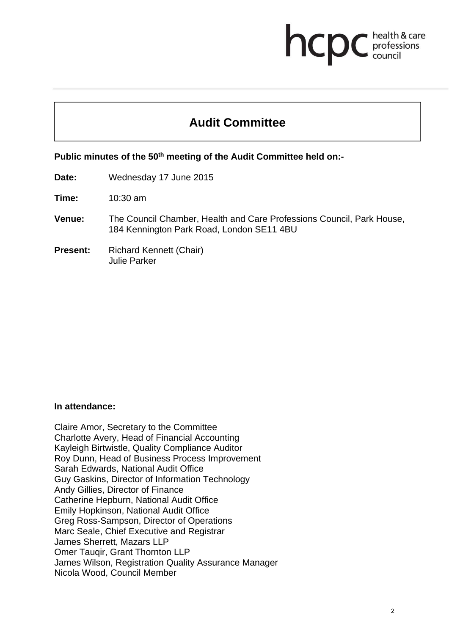# **health & care**

# **Audit Committee**

**Public minutes of the 50th meeting of the Audit Committee held on:-** 

**Date:** Wednesday 17 June 2015

**Time:** 10:30 am

- **Venue:** The Council Chamber, Health and Care Professions Council, Park House, 184 Kennington Park Road, London SE11 4BU
- **Present:** Richard Kennett (Chair) Julie Parker

#### **In attendance:**

Claire Amor, Secretary to the Committee Charlotte Avery, Head of Financial Accounting Kayleigh Birtwistle, Quality Compliance Auditor Roy Dunn, Head of Business Process Improvement Sarah Edwards, National Audit Office Guy Gaskins, Director of Information Technology Andy Gillies, Director of Finance Catherine Hepburn, National Audit Office Emily Hopkinson, National Audit Office Greg Ross-Sampson, Director of Operations Marc Seale, Chief Executive and Registrar James Sherrett, Mazars LLP Omer Tauqir, Grant Thornton LLP James Wilson, Registration Quality Assurance Manager Nicola Wood, Council Member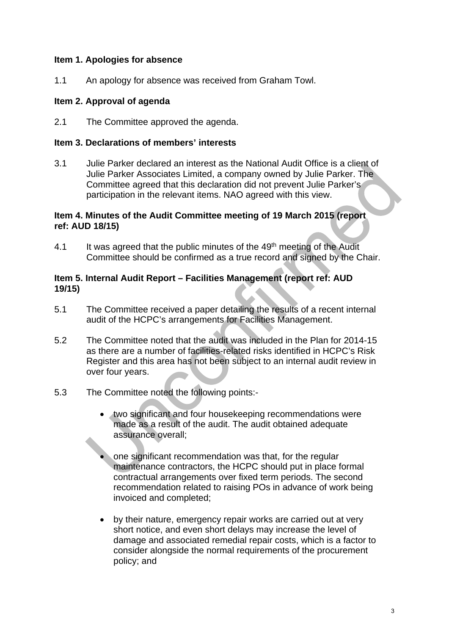# **Item 1. Apologies for absence**

1.1 An apology for absence was received from Graham Towl.

## **Item 2. Approval of agenda**

2.1 The Committee approved the agenda.

#### **Item 3. Declarations of members' interests**

3.1 Julie Parker declared an interest as the National Audit Office is a client of Julie Parker Associates Limited, a company owned by Julie Parker. The Committee agreed that this declaration did not prevent Julie Parker's participation in the relevant items. NAO agreed with this view.

#### **Item 4. Minutes of the Audit Committee meeting of 19 March 2015 (report ref: AUD 18/15)**

4.1 It was agreed that the public minutes of the 49<sup>th</sup> meeting of the Audit Committee should be confirmed as a true record and signed by the Chair.

# **Item 5. Internal Audit Report – Facilities Management (report ref: AUD 19/15)**

- 5.1 The Committee received a paper detailing the results of a recent internal audit of the HCPC's arrangements for Facilities Management.
- 5.2 The Committee noted that the audit was included in the Plan for 2014-15 as there are a number of facilities-related risks identified in HCPC's Risk Register and this area has not been subject to an internal audit review in over four years.
- 5.3 The Committee noted the following points:
	- two significant and four housekeeping recommendations were made as a result of the audit. The audit obtained adequate assurance overall;
		- one significant recommendation was that, for the regular maintenance contractors, the HCPC should put in place formal contractual arrangements over fixed term periods. The second recommendation related to raising POs in advance of work being invoiced and completed;
	- by their nature, emergency repair works are carried out at very short notice, and even short delays may increase the level of damage and associated remedial repair costs, which is a factor to consider alongside the normal requirements of the procurement policy; and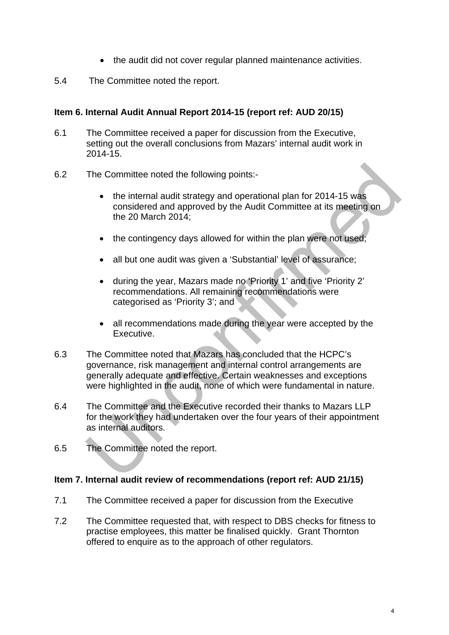- the audit did not cover regular planned maintenance activities.
- 5.4 The Committee noted the report.

# **Item 6. Internal Audit Annual Report 2014-15 (report ref: AUD 20/15)**

- 6.1 The Committee received a paper for discussion from the Executive, setting out the overall conclusions from Mazars' internal audit work in 2014-15.
- 6.2 The Committee noted the following points:-
	- the internal audit strategy and operational plan for 2014-15 was considered and approved by the Audit Committee at its meeting on the 20 March 2014;
	- the contingency days allowed for within the plan were not used;
	- all but one audit was given a 'Substantial' level of assurance;
	- during the year, Mazars made no 'Priority 1' and five 'Priority 2' recommendations. All remaining recommendations were categorised as 'Priority 3'; and
	- all recommendations made during the year were accepted by the Executive.
- 6.3 The Committee noted that Mazars has concluded that the HCPC's governance, risk management and internal control arrangements are generally adequate and effective. Certain weaknesses and exceptions were highlighted in the audit, none of which were fundamental in nature.
- 6.4 The Committee and the Executive recorded their thanks to Mazars LLP for the work they had undertaken over the four years of their appointment as internal auditors.
- 6.5 The Committee noted the report.

### **Item 7. Internal audit review of recommendations (report ref: AUD 21/15)**

- 7.1 The Committee received a paper for discussion from the Executive
- 7.2 The Committee requested that, with respect to DBS checks for fitness to practise employees, this matter be finalised quickly. Grant Thornton offered to enquire as to the approach of other regulators.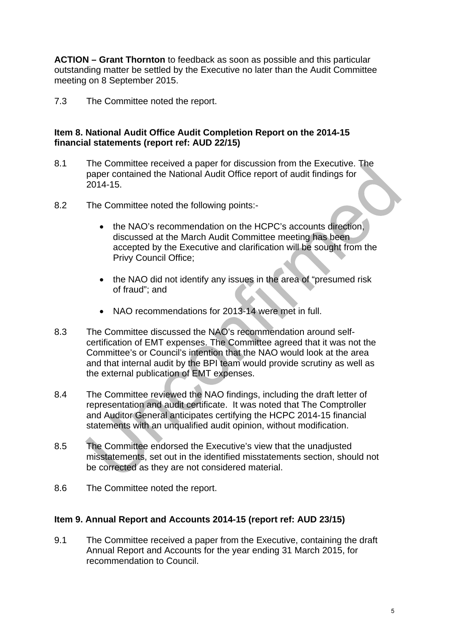**ACTION – Grant Thornton** to feedback as soon as possible and this particular outstanding matter be settled by the Executive no later than the Audit Committee meeting on 8 September 2015.

7.3 The Committee noted the report.

# **Item 8. National Audit Office Audit Completion Report on the 2014-15 financial statements (report ref: AUD 22/15)**

- 8.1 The Committee received a paper for discussion from the Executive. The paper contained the National Audit Office report of audit findings for 2014-15.
- 8.2 The Committee noted the following points:
	- the NAO's recommendation on the HCPC's accounts direction, discussed at the March Audit Committee meeting has been accepted by the Executive and clarification will be sought from the Privy Council Office;
	- the NAO did not identify any issues in the area of "presumed risk" of fraud"; and
	- NAO recommendations for 2013-14 were met in full.
- 8.3 The Committee discussed the NAO's recommendation around selfcertification of EMT expenses. The Committee agreed that it was not the Committee's or Council's intention that the NAO would look at the area and that internal audit by the BPI team would provide scrutiny as well as the external publication of EMT expenses.
- 8.4 The Committee reviewed the NAO findings, including the draft letter of representation and audit certificate. It was noted that The Comptroller and Auditor General anticipates certifying the HCPC 2014-15 financial statements with an unqualified audit opinion, without modification.
- 8.5 The Committee endorsed the Executive's view that the unadjusted misstatements, set out in the identified misstatements section, should not be corrected as they are not considered material.
- 8.6 The Committee noted the report.

# **Item 9. Annual Report and Accounts 2014-15 (report ref: AUD 23/15)**

9.1 The Committee received a paper from the Executive, containing the draft Annual Report and Accounts for the year ending 31 March 2015, for recommendation to Council.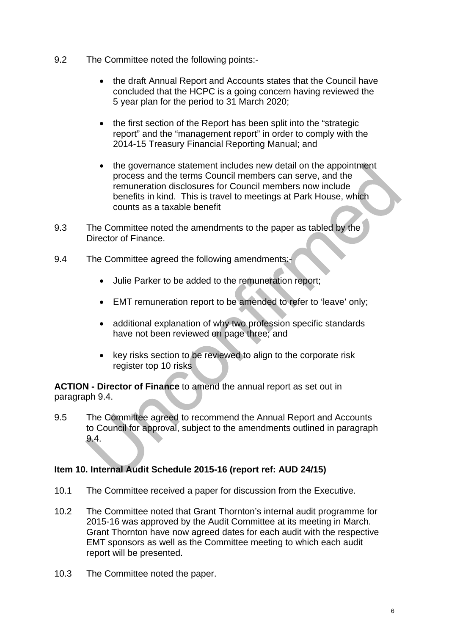- 9.2 The Committee noted the following points:
	- the draft Annual Report and Accounts states that the Council have concluded that the HCPC is a going concern having reviewed the 5 year plan for the period to 31 March 2020;
	- the first section of the Report has been split into the "strategic report" and the "management report" in order to comply with the 2014-15 Treasury Financial Reporting Manual; and
	- the governance statement includes new detail on the appointment process and the terms Council members can serve, and the remuneration disclosures for Council members now include benefits in kind. This is travel to meetings at Park House, which counts as a taxable benefit
- 9.3 The Committee noted the amendments to the paper as tabled by the Director of Finance.
- 9.4 The Committee agreed the following amendments:-
	- Julie Parker to be added to the remuneration report;
	- EMT remuneration report to be amended to refer to 'leave' only;
	- additional explanation of why two profession specific standards have not been reviewed on page three; and
	- key risks section to be reviewed to align to the corporate risk register top 10 risks

**ACTION - Director of Finance** to amend the annual report as set out in paragraph 9.4.

9.5 The Committee agreed to recommend the Annual Report and Accounts to Council for approval, subject to the amendments outlined in paragraph 9.4.

# **Item 10. Internal Audit Schedule 2015-16 (report ref: AUD 24/15)**

- 10.1 The Committee received a paper for discussion from the Executive.
- 10.2 The Committee noted that Grant Thornton's internal audit programme for 2015-16 was approved by the Audit Committee at its meeting in March. Grant Thornton have now agreed dates for each audit with the respective EMT sponsors as well as the Committee meeting to which each audit report will be presented.
- 10.3 The Committee noted the paper.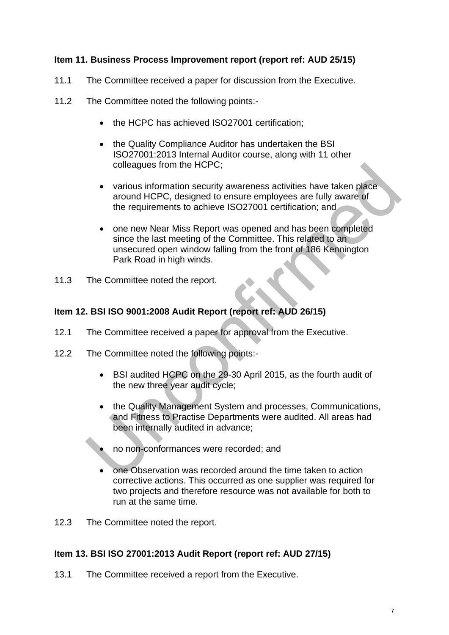# **Item 11. Business Process Improvement report (report ref: AUD 25/15)**

- 11.1 The Committee received a paper for discussion from the Executive.
- 11.2 The Committee noted the following points:-
	- the HCPC has achieved ISO27001 certification:
	- the Quality Compliance Auditor has undertaken the BSI ISO27001:2013 Internal Auditor course, along with 11 other colleagues from the HCPC;
	- various information security awareness activities have taken place around HCPC, designed to ensure employees are fully aware of the requirements to achieve ISO27001 certification; and
	- one new Near Miss Report was opened and has been completed since the last meeting of the Committee. This related to an unsecured open window falling from the front of 186 Kennington Park Road in high winds.
- 11.3 The Committee noted the report.

### **Item 12. BSI ISO 9001:2008 Audit Report (report ref: AUD 26/15)**

- 12.1 The Committee received a paper for approval from the Executive.
- 12.2 The Committee noted the following points:-
	- BSI audited HCPC on the 29-30 April 2015, as the fourth audit of the new three year audit cycle;
	- the Quality Management System and processes, Communications, and Fitness to Practise Departments were audited. All areas had been internally audited in advance;
	- no non-conformances were recorded; and
	- one Observation was recorded around the time taken to action corrective actions. This occurred as one supplier was required for two projects and therefore resource was not available for both to run at the same time.
- 12.3 The Committee noted the report.

### **Item 13. BSI ISO 27001:2013 Audit Report (report ref: AUD 27/15)**

13.1 The Committee received a report from the Executive.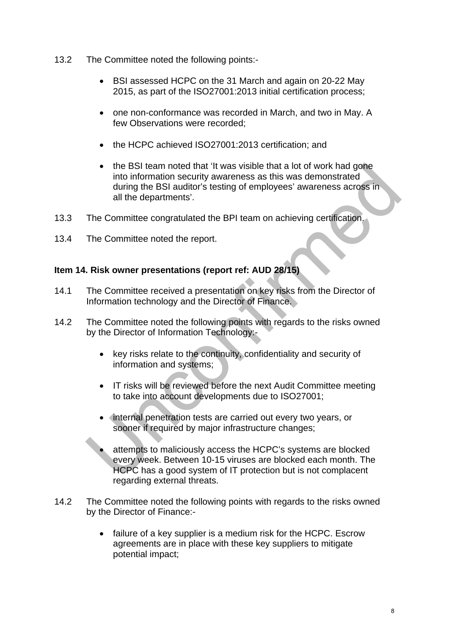- 13.2 The Committee noted the following points:-
	- BSI assessed HCPC on the 31 March and again on 20-22 May 2015, as part of the ISO27001:2013 initial certification process;
	- one non-conformance was recorded in March, and two in May. A few Observations were recorded;
	- the HCPC achieved ISO27001:2013 certification; and
	- the BSI team noted that 'It was visible that a lot of work had gone into information security awareness as this was demonstrated during the BSI auditor's testing of employees' awareness across in all the departments'.
- 13.3 The Committee congratulated the BPI team on achieving certification.
- 13.4 The Committee noted the report.

### **Item 14. Risk owner presentations (report ref: AUD 28/15)**

- 14.1 The Committee received a presentation on key risks from the Director of Information technology and the Director of Finance.
- 14.2 The Committee noted the following points with regards to the risks owned by the Director of Information Technology:-
	- key risks relate to the continuity, confidentiality and security of information and systems;
	- IT risks will be reviewed before the next Audit Committee meeting to take into account developments due to ISO27001;
	- Internal penetration tests are carried out every two years, or sooner if required by major infrastructure changes;
		- attempts to maliciously access the HCPC's systems are blocked every week. Between 10-15 viruses are blocked each month. The HCPC has a good system of IT protection but is not complacent regarding external threats.
- 14.2 The Committee noted the following points with regards to the risks owned by the Director of Finance:
	- failure of a key supplier is a medium risk for the HCPC. Escrow agreements are in place with these key suppliers to mitigate potential impact;